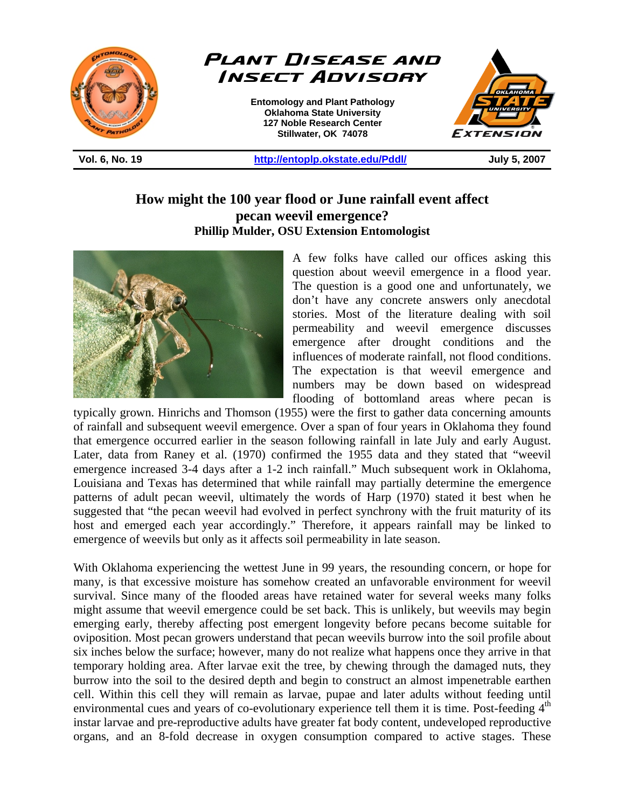



## **How might the 100 year flood or June rainfall event affect pecan weevil emergence? Phillip Mulder, OSU Extension Entomologist**



A few folks have called our offices asking this question about weevil emergence in a flood year. The question is a good one and unfortunately, we don't have any concrete answers only anecdotal stories. Most of the literature dealing with soil permeability and weevil emergence discusses emergence after drought conditions and the influences of moderate rainfall, not flood conditions. The expectation is that weevil emergence and numbers may be down based on widespread flooding of bottomland areas where pecan is

typically grown. Hinrichs and Thomson (1955) were the first to gather data concerning amounts of rainfall and subsequent weevil emergence. Over a span of four years in Oklahoma they found that emergence occurred earlier in the season following rainfall in late July and early August. Later, data from Raney et al. (1970) confirmed the 1955 data and they stated that "weevil emergence increased 3-4 days after a 1-2 inch rainfall." Much subsequent work in Oklahoma, Louisiana and Texas has determined that while rainfall may partially determine the emergence patterns of adult pecan weevil, ultimately the words of Harp (1970) stated it best when he suggested that "the pecan weevil had evolved in perfect synchrony with the fruit maturity of its host and emerged each year accordingly." Therefore, it appears rainfall may be linked to emergence of weevils but only as it affects soil permeability in late season.

With Oklahoma experiencing the wettest June in 99 years, the resounding concern, or hope for many, is that excessive moisture has somehow created an unfavorable environment for weevil survival. Since many of the flooded areas have retained water for several weeks many folks might assume that weevil emergence could be set back. This is unlikely, but weevils may begin emerging early, thereby affecting post emergent longevity before pecans become suitable for oviposition. Most pecan growers understand that pecan weevils burrow into the soil profile about six inches below the surface; however, many do not realize what happens once they arrive in that temporary holding area. After larvae exit the tree, by chewing through the damaged nuts, they burrow into the soil to the desired depth and begin to construct an almost impenetrable earthen cell. Within this cell they will remain as larvae, pupae and later adults without feeding until environmental cues and years of co-evolutionary experience tell them it is time. Post-feeding  $4<sup>th</sup>$ instar larvae and pre-reproductive adults have greater fat body content, undeveloped reproductive organs, and an 8-fold decrease in oxygen consumption compared to active stages. These